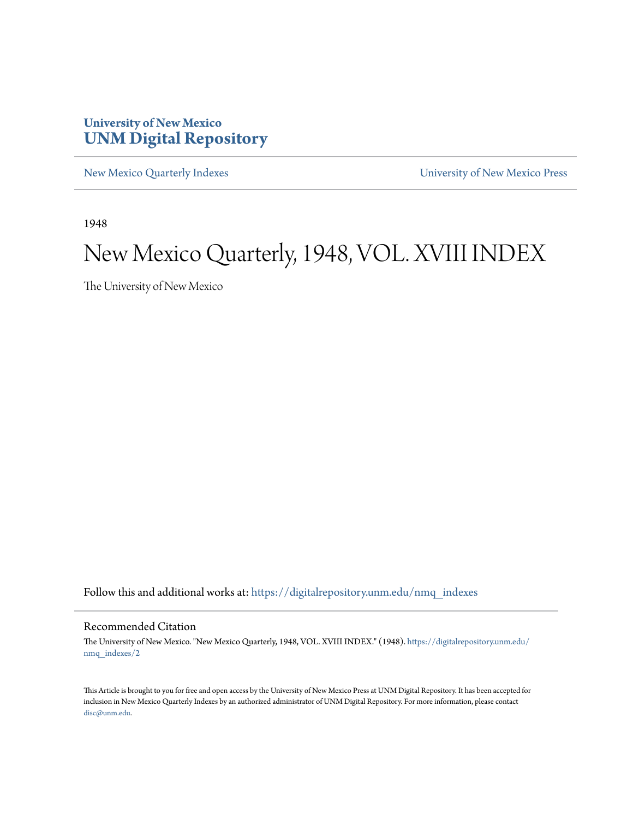## **University of New Mexico [UNM Digital Repository](https://digitalrepository.unm.edu?utm_source=digitalrepository.unm.edu%2Fnmq_indexes%2F2&utm_medium=PDF&utm_campaign=PDFCoverPages)**

[New Mexico Quarterly Indexes](https://digitalrepository.unm.edu/nmq_indexes?utm_source=digitalrepository.unm.edu%2Fnmq_indexes%2F2&utm_medium=PDF&utm_campaign=PDFCoverPages) [University of New Mexico Press](https://digitalrepository.unm.edu/press?utm_source=digitalrepository.unm.edu%2Fnmq_indexes%2F2&utm_medium=PDF&utm_campaign=PDFCoverPages)

1948

## New Mexico Quarterly, 1948, VOL. XVIII INDEX

The University of New Mexico

Follow this and additional works at: [https://digitalrepository.unm.edu/nmq\\_indexes](https://digitalrepository.unm.edu/nmq_indexes?utm_source=digitalrepository.unm.edu%2Fnmq_indexes%2F2&utm_medium=PDF&utm_campaign=PDFCoverPages)

### Recommended Citation

The University of New Mexico. "New Mexico Quarterly, 1948, VOL. XVIII INDEX." (1948). [https://digitalrepository.unm.edu/](https://digitalrepository.unm.edu/nmq_indexes/2?utm_source=digitalrepository.unm.edu%2Fnmq_indexes%2F2&utm_medium=PDF&utm_campaign=PDFCoverPages) [nmq\\_indexes/2](https://digitalrepository.unm.edu/nmq_indexes/2?utm_source=digitalrepository.unm.edu%2Fnmq_indexes%2F2&utm_medium=PDF&utm_campaign=PDFCoverPages)

This Article is brought to you for free and open access by the University of New Mexico Press at UNM Digital Repository. It has been accepted for inclusion in New Mexico Quarterly Indexes by an authorized administrator of UNM Digital Repository. For more information, please contact [disc@unm.edu](mailto:disc@unm.edu).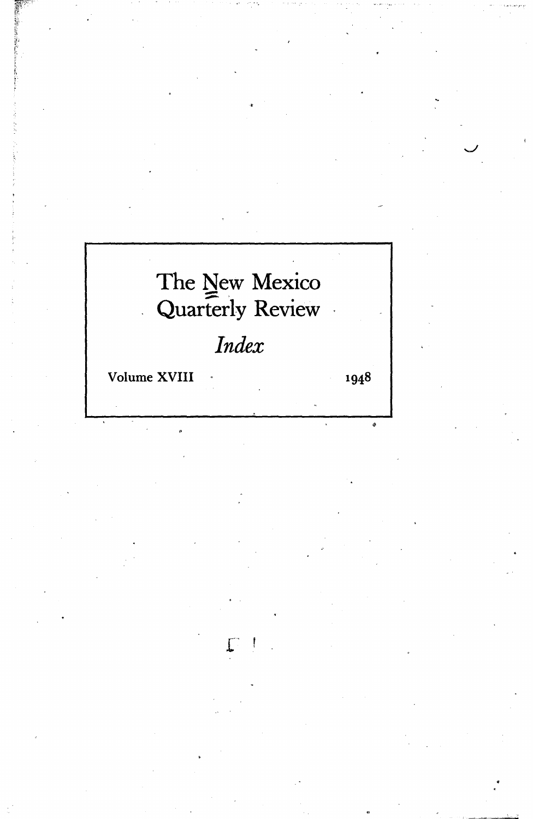# The New Mexico<br>Quarterly Review  $\mathbb{R}$

## *Index*

Volume XVIII .

1948

 $\hat{\mathcal{F}}$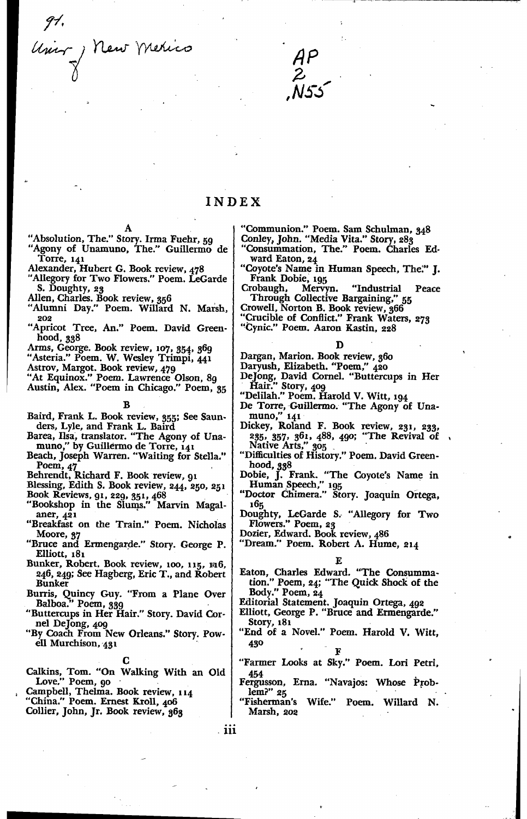91.<br>Univ J New Merico



### INDEX

- "Absolution, The." Story. Irma Fuehr, 59<br>"Agony of Unamuno, The." Guillermo de Torre, 141
- Alexander, Hubert G. Book review, 478
- Allegory for Two Flowers." Poem. LeGarde<br>S. Doughty, 23
- Allen, Charles. Book review, 356
- "Alumni Day." Poem. Willard N. Marsh, 202
- "Apricot Tree, An." Poem. David Greenhood, 338
- Arms, George. Book review, 107, 354, 369
- "Asteria." Poem. W. Wesley Trimpi, 441
- Astrov, Margot. Book review, 479

"At Equinox." Poem. Lawrence Olson, 89<br>Austin, Alex. "Poem in Chicago." Poem, 35

B

- Baird, Frank L. Book review, 355; See Saunders, Lyle, and Frank L. Baird<br>Barea, Ilsa, translator. "The Agony of Una-
- 
- muno," by Guillermo de Torre, 141<br>Beach, Joseph Warren. "Waiting for Stella."
- Poem, 47<br>Behrendt, Richard F. Book review, 91
- 
- Blessing, Edith S. Book review, 244, 250, 251<br>Book Reviews, 91, 229, 351, 468<br>"Bookshop in the Slums." Marvin Magal-
- aner, 421
- "Breakfast on the Train." Poem. Nicholas Moore, 37
- "Bruce and Ermengarde." Story. George P. Elliott, 181
- Bunker, Robert. Book review, 100, 115, 116, 246, 249; See Hagberg, Eric T., and Robert **Bunker**
- Burris, Quincy Guy. "From a Plane Over<br>Balboa." Poem, 339
- "Buttercups in Her Hair." Story. David Cornel DeJong, 409
- "By Coach From New Orleans." Story. Powell Murchison, 431

Calkins, Tom. "On Walking With an Old Love." Poem, 90

- Campbell, Thelma. Book review, 114
- "China." Poem. Ernest Kroll, 406 Collier, John, Jr. Book review, 363
- "Communion." Poem. Sam Schulman, 348<br>Conley, John. "Media Vita." Story, 283<br>"Consummation, The." Poem. Charles Ed-
- ward Eaton, 24
- "Coyote's Name in Human Speech, The." J. Frank Dobie, 195

 $"Industrial"$ Crobaugh, Mervyn. Peace Through Collective Bargaining," -55

Crowell, Norton B. Book review, 366

- Crucible of Conflict." Frank Waters, 273
- "Cynic." Poem. Aaron Kastin, 228

- Dargan, Marion. Book review, 360
- Daryush, Elizabeth. "Poem," 420
- De Jong, David Cornel. "Buttercups in Her<br>Hair." Story, 409
- "Delilah." Poem. Harold V. Witt, 194
- De Torre, Guillermo. "The Agony of Unamuno," 141
- Dickey, Roland F. Book review, 231, 233, 235, 357, 361, 488, 490; "The Revival of<br>Native Arts," 305
- "Difficulties of History." Poem. David Greenhood, 338
- noou, 330<br>Dobie, J. Frank. "The Coyote's Name in<br>Human Speech," 195<br>"Doctor Chimera." Story. Joaquin Ortega,
- 165
- Doughty, LeGarde S. "Allegory for Two<br>Flowers." Poem, 23

Dozier, Edward. Book review, 486

"Dream." Poem. Robert A. Hume, 214

F.

Eaton, Charles Edward. "The Consumma-<br>tion." Poem, 24; "The Quick Shock of the Body." Poem,  $24$ 

Editorial Statement. Joaquin Ortega, 492

- Elliott, George P. "Bruce and Ermengarde." Story, 181
- "End of a Novel." Poem. Harold V. Witt, 430

- "Farmer Looks at Sky." Poem. Lori Petri, 454
- Fergusson, Erna. "Navajos: Whose Prob $lem$ "  $25$
- 'Fisherman's Wife." Poem. Willard N. Marsh, 202

. iii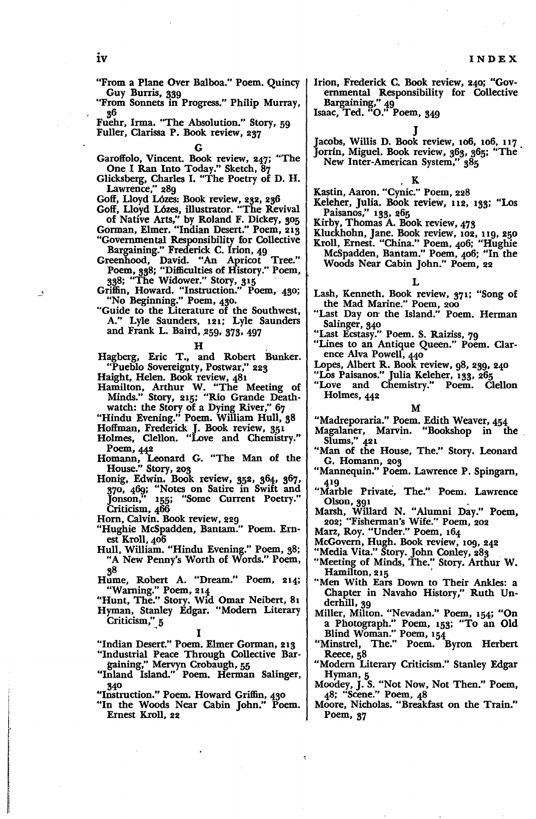"From a Plane Over Balboa." Poem. Quincy Guy Burris, 339

"From Sonnets in Progress." Philip Murray, 36

Fuehr, Irma. "The Absolution." Story, 59 Fuller, Clarissa P. Book review, 237

G Garoffolo, Vincent. Book review, 247: "The One I Ran Into Today." Sketch, 87

Glicksberg, Charles I. "The Poetry of D. H. Lawrence," 289

Goff, lloyd L6zes: Book review, 282, 236

Goff, lloyd L6zes, illustrator. "The Revival of Native Arts," by Roland F. Dickey, 305

Gorman, Elmer. "Indian Desert." Poem, 213 "Governmental Responsibility for Collective Bargaining." Frederick C. Irion. 49

Greenhood, David. "An Apricot Tree." Poem, 338: "Difficulties of History." Poem, 338: "The Widower." Story, 315 .

Griffin, Howard. "Instruction." Poem, 430: "No Beginning." Poem, 480.

- "Guide to the Literature of the Southwest, A." Lyle Saunders, 121; Lyle Saunders and Frank L. Baird, 259, 373, 497
	-

H<br>Hagberg, Eric T., and Robert Bunker. "Pueblo Sovereignty, Postwar," 223

Haight, Helen. Book review, 481

- Hamilton, Arthur W. "The Meeting of Minds." Story, 215; "Rio Grande Deathwatch: the Story of a Dying River," 67
- "Hindu Evening." Poem. William Hull, 38
- Hoffman, Frederick J. Book review, 351
- Holmes, Clellon. "Love and Chemistry." Poem, 442
- Homann, Leonard G. "The Man of the House." Story, 203
- Honig, Edwin. Book review, 352, 364, 367, 370, 469: "Notes on Satire in Swift and Jonson," 155; "Some Current Poetry." Criticism, 466

Hom, Calvin. Book review, 229

- "Hughie McSpadden, Bantam:' Poem. Ernest Kroll, 406
- Hull, William. "Hindu Evening." Poem, 38; "A New Penny's Worth of Words." Poem, 8
- 3<sup>8</sup><br>Hume, Robert A. "Dream." Poem, 214; "Warning." Poem, 214

"Hunt, The." Story. Wid Omar Neibert, 81

Hyman, Stanley Edgar. "Modem Literary Criticism," 5  $\cdot$ ,  $\boldsymbol{\frac{1}{2}}$ 

"Indian Desert." Poem. Elmer Gorman, 213 "Industrial Peace Through Collective Bar-

gaining," Mervyn Crobaugh, 55

I

"Inland Island." Poem. Herman Salinger, 340

- "Instruction." Poem. Howard Griffin, 430
- "In the Woods Near Cabin John." Poem. Ernest Kroll, 22

Irion, Frederick C. Book review, 240: "Governmental Responsibility for Collective Bargaining," 49

Isaac, Ted. "0." Poem, 349

J

- Jacobs, Willis D. Book review, 106, 106, 117 . Jorrín, Miguel. Book review, 363, 365; "The
	- New Inter-American System," 385

 $\bf{K}$ 

- Kastin, Aaron. "Cynic." Poem, 228
- Keleher, Julia. Book review, 112, 133; "Los Paisanos," 133, 265
- Kirby, Thomas A. Book review, 473
- Kluckhohn, Jane. Book review, 102, 119, 250 Kroll, Ernest. "China." Poem, 406; "Hughie McSpadden, Bantam." Poem, 406: "In the Woods Near Cabin John." Poem, 22

### L

- Lash, Kenneth. Book review, 371; "Song of the Mad Marine." Poem, 200
- "Last Day on the Island." Poem. Herman Salinger, 340
- "Last Ecstasy." Poem. S. Raiziss, 79
- "Lines to an Antique Queen." Poem. Clarence Alva Powell, 440
- Lopes, Albert R. Book review, 98, 239, 240
- "Los Paisanos." Julia Keleher, 133, 265
- "Love and Chemistry." Poem. Clellon Holmes, 442

### M

- "Madreporaria." Poem. Edith Weaver, 454
- Magalaner, Marvin. "Bookshop in the Slums," 421 .
- "Man of the House, The." Story. Leonard G. Homann, 203
- "Mannequin." Poem. Lawrence P. Spingarn,
- 419<br>
"Marble Private, The." Poem. Lawrence<br>
Olson, 391
- Olson, <sup>391</sup> Marsh, Willard N. "Alumni Day." Poem, 202: "Fisherman's Wife:' Poem, 202
- Marz, Roy. "Under:' Poem, 164
- McGovern, Hugh. Book review, 109, 242
- 
- "Media Vita." Story. John Conley, 283<br>"Meeting of Minds, The." Story. Arthur W.<br>Hamilton, 215
- "Men With Ears Down to Their Ankles: a Chapter in Navaho History," Ruth Underhill, 39
- Miller, Milton. "Nevadan." Poem, 154: "On a Photograph." Poem, 153; "To an Old Blind Woman." Poem, 154
- "Minstrel, The." Poem. Byron Herbert Reece, 58
- "Modem Literary Criticism." Stanley Edgar Hyman, 5
- Moodey, J. S."Not Now, Not Then." Poem, 48; "Scene." Poem, 48
- Moore, Nicholas. "Breakfast on the Train." Poem, 37

 $\rightarrow$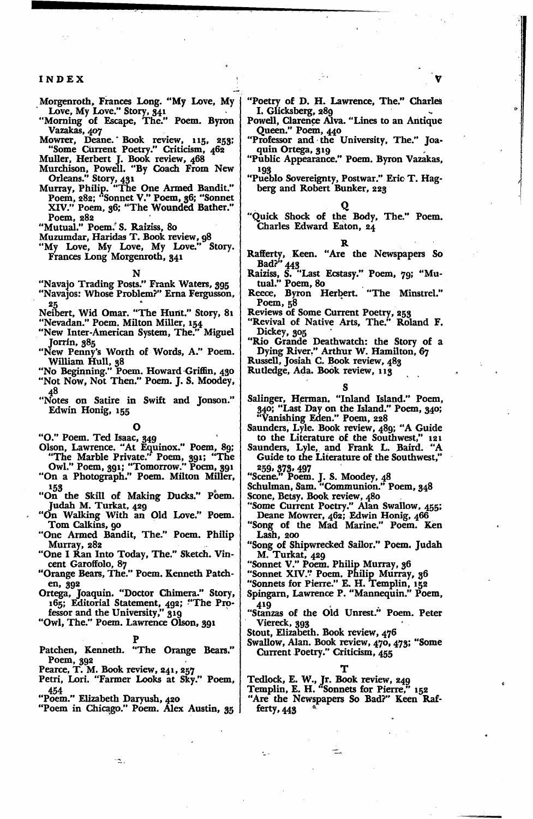### INDEX

- Morgenroth, Frances Long. "My Love, My Love, My Love." Story, 341
- "Morning of Escape, The." Poem. Byron Vazakas, 407
- Mowrer, Deane. Book review, 115, 253;<br>"Some Current Poetry." Criticism, 462
- 
- 
- Some Current Poetry. Criticism, 402<br>
Muller, Herbert J. Book review, 468<br>
Murchison, Powell. "By Coach From New<br>
Orleans." Story, 431<br>
Murray, Philip. "The One Armed Bandit."<br>
Poem, 282; "Sonnet V." Poem, 36; "Sonnet<br>
XIV. Poem, 282<br>"Mutual." Poem. S. Raiziss, 80

- 
- Muzumdar, Haridas T. Book review, 98<br>"My Love, My Love, My Love." Story. Frances Long Morgenroth, 341

- "Navajo Trading Posts." Frank Waters, 395<br>"Navajos: Whose Problem?" Erna Fergusson,
- Neibert, Wid Omar. "The Hunt." Story, 81
- "Nevadan." Poem. Milton Miller, 154<br>"Nevadan." Poem. Milton Miller, 154<br>"New Inter-American System, The." Miguel Jorrín, 385
- "New Penny's Worth of Words, A." Poem.
- William Hull, 38<br>"No Beginning." Poem. Howard Griffin, 430<br>"Not Now, Not Then." Poem. J. S. Moodey,
- 48
- "Notes on Satire in Swift and Jonson." Edwin Honig, 155

- "O." Poem. Ted Isaac, 349<br>Olson, Lawrence. "At Equinox." Poem, 89;<br>"The Marble Private." Poem, 391; "The<br>Owl." Poem, 391; "Tomorrow." Poem, 391<br>"On a Photograph." Poem. Milton Miller,
- 
- <sup>153</sup> "On the Skill of Making Ducks." Poem. Judah M. Turkat, 429
- "On Walking With an Old Love." Poem. Tom Calkins, 90
- "One Armed Bandit, The." Poem. Philip Murray, 282
- "One I Ran Into Today, The." Sketch. Vin-
- cent Garoffolo, 87<br>"Orange Bears, The." Poem. Kenneth Patchen, 392
- Ortega, Joaquin. "Doctor Chimera." Story,<br>165; Editorial Statement, 492; "The Pro-<br>fessor and the University," 319
- "Owl, The." Poem. Lawrence Olson, 391

- Patchen, Kenneth. "The Orange Bears." Poem, 392<br>Pearce, T. M. Book review, 241, 257
- 

٠٦.

- Petri, Lori. "Farmer Looks at Sky." Poem,
- 454
- 
- "Poem." Elizabeth Daryush, 420<br>"Poem in Chicago." Poem. Alex Austin, 35
- "Poetry of D. H. Lawrence, The." Charles I. Glicksberg, 289
- Powell, Clarence Alva. "Lines to an Antique Queen." Poem, 440<br>"Professor and the University, The." Joa-
- quin Ortega, 319
- "Public Appearance." Poem. Byron Vazakas. 109
- "Pueblo Sovereignty, Postwar." Eric T. Hagberg and Robert Bunker, 223

"Quick Shock of the Body, The." Poem. Charles Edward Eaton, 24

- Rafferty, Keen. "Are the Newspapers So<br>Bad?" 443<br>Raiziss, S. "Last Ecstasy." Poem, 79; "Mu-<br>tual." Poem, 80
- 
- Reece, Byron Herbert. "The Minstrel." Poem, 58

Reviews of Some Current Poetry, 253<br>"Revival of Native Arts, The." Roland F. Dickey, 305

"Rio Grande Deathwatch: the Story of a Dying River." Arthur W. Hamilton, 67

Russell, Josiah C. Book review, 483

Rutledge, Ada. Book review, 113

- Salinger, Herman. "Inland Island." Poem, 340; "Last Day on the Island." Poem, 340;<br>"Vanishing Eden." Poem, 228
- Saunders, Lyle. Book review, 489; "A Guide
- to the Literature of the Southwest," 121<br>Saunders, Lyle, and Frank L. Baird. "A<br>Guide to the Literature of the Southwest,"
	-
- 259, 373, 497<br>
"Scene." Poem. J. S. Moodey, 48<br>
Schulman, Sam. "Communion." Poem, 348
- 
- Scone, Betsy. Book review, 480<br>
"Some Current Poetry." Alan Swallow, 455;<br>
Deane Mowrer, 462; Edwin Honig, 466
- "Song of the Mad Marine." Poem. Ken Lash. 200
- "Song of Shipwrecked Sailor." Poem. Judah M. Turkat, 429<br>"Sonnet V." Poem. Philip Murray, 36
- 
- 
- 
- "Sonnet XIV." Poem. Philip Murray, 30<br>"Sonnets for Pierre." E. H. Templin, 152<br>Spingarn, Lawrence P. "Mannequin." Poem, 419
- "Stanzas of the Old Unrest." Poem. Peter Viereck, 393
- Stout, Elizabeth. Book review, 476
- Swallow, Alan. Book review, 470, 473; "Some Current Poetry." Criticism, 455

- 
- Tedlock, E. W., Jr. Book review, 249<br>Templin, E. H. "Sonnets for Pierre," 152
- "Are the Newspapers So Bad?" Keen Rafferty,  $443$